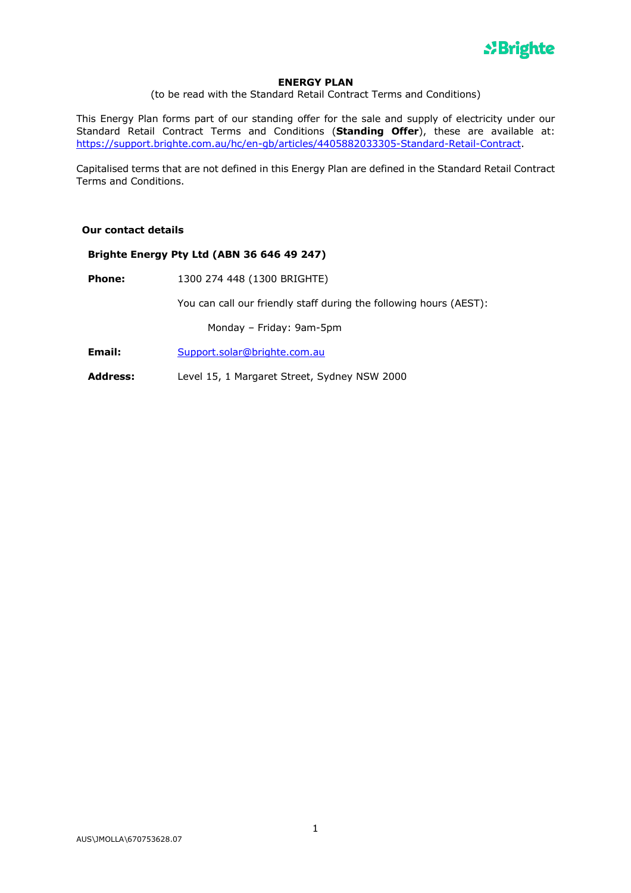

## **ENERGY PLAN**

(to be read with the Standard Retail Contract Terms and Conditions)

This Energy Plan forms part of our standing offer for the sale and supply of electricity under our Standard Retail Contract Terms and Conditions (**Standing Offer**), these are available at: https://support.brighte.com.au/hc/en-gb/articles/4405882033305-Standard-Retail-Contract.

Capitalised terms that are not defined in this Energy Plan are defined in the Standard Retail Contract Terms and Conditions.

## **Our contact details**

## **Brighte Energy Pty Ltd (ABN 36 646 49 247)**

**Phone:** 1300 274 448 (1300 BRIGHTE)

You can call our friendly staff during the following hours (AEST):

Monday – Friday: 9am-5pm

- **Email:** Support.solar@brighte.com.au
- **Address:** Level 15, 1 Margaret Street, Sydney NSW 2000